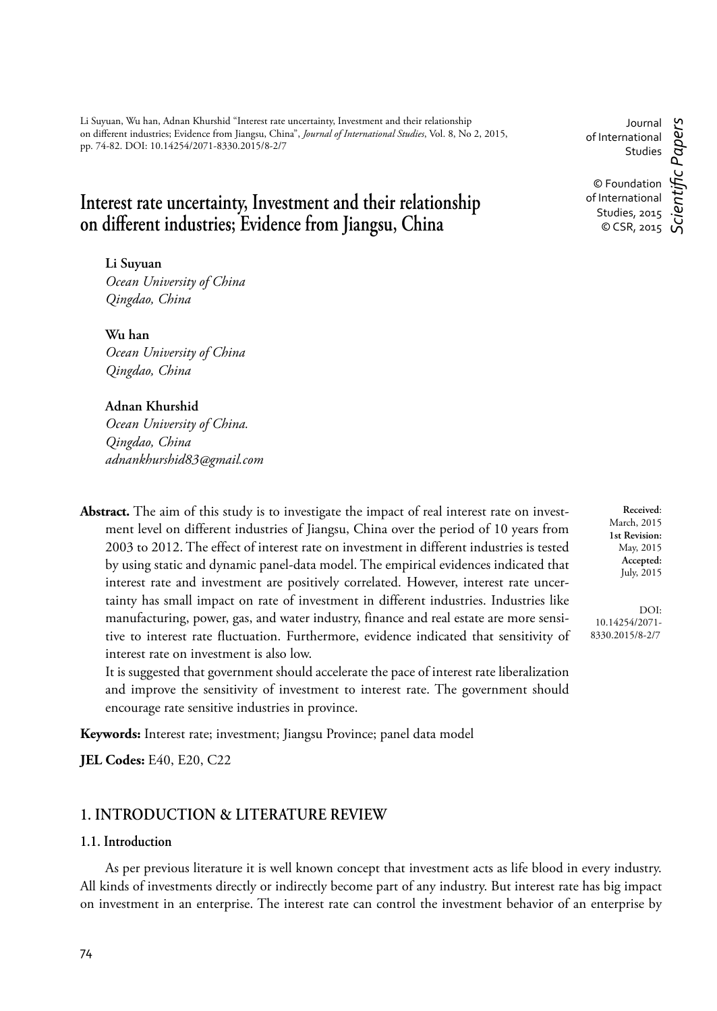Li Suyuan, Wu han, Adnan Khurshid "Interest rate uncertainty, Investment and their relationship on diff erent industries; Evidence from Jiangsu, China", *Journal of International Studies*, Vol. 8, No 2, 2015, pp. 74-82. DOI: 10.14254/2071-8330.2015/8-2/7

# **Interest rate uncertainty, Investment and their relationship on diff erent industries; Evidence from Jiangsu, China**

## **Li Suyuan**

*Ocean University of China Qingdao, China*

**Wu han** *Ocean University of China Qingdao, China* 

### **Adnan Khurshid**

*Ocean University of China. Qingdao, China adnankhurshid83@gmail.com* 

**Abstract.** The aim of this study is to investigate the impact of real interest rate on investment level on different industries of Jiangsu, China over the period of 10 years from 2003 to 2012. The effect of interest rate on investment in different industries is tested by using static and dynamic panel-data model. The empirical evidences indicated that interest rate and investment are positively correlated. However, interest rate uncertainty has small impact on rate of investment in different industries. Industries like manufacturing, power, gas, and water industry, finance and real estate are more sensitive to interest rate fluctuation. Furthermore, evidence indicated that sensitivity of interest rate on investment is also low.

It is suggested that government should accelerate the pace of interest rate liberalization and improve the sensitivity of investment to interest rate. The government should encourage rate sensitive industries in province.

**Keywords:** Interest rate; investment; Jiangsu Province; panel data model

**JEL Codes:** E40, E20, C22

# **1. INTRODUCTION & LITERATURE REVIEW**

## **1.1. Introduction**

As per previous literature it is well known concept that investment acts as life blood in every industry. All kinds of investments directly or indirectly become part of any industry. But interest rate has big impact on investment in an enterprise. The interest rate can control the investment behavior of an enterprise by

Journal of International Studies © Foundation of International Studies, 2015  $\circ$  CSR, 2015  $\circ$ *Scientifi c Papers*

> **Received**: March, 2015 **1st Revision:** May, 2015 **Accepted:** July, 2015

DOI: 10.14254/2071- 8330.2015/8-2/7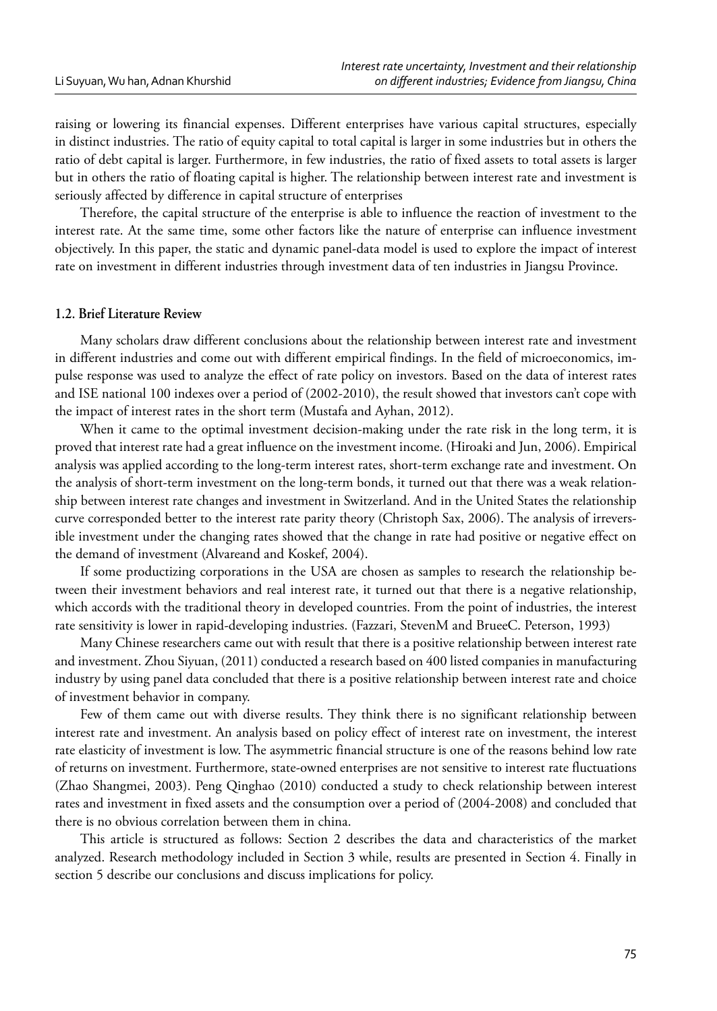raising or lowering its financial expenses. Different enterprises have various capital structures, especially in distinct industries. The ratio of equity capital to total capital is larger in some industries but in others the ratio of debt capital is larger. Furthermore, in few industries, the ratio of fixed assets to total assets is larger but in others the ratio of floating capital is higher. The relationship between interest rate and investment is seriously affected by difference in capital structure of enterprises

Therefore, the capital structure of the enterprise is able to influence the reaction of investment to the interest rate. At the same time, some other factors like the nature of enterprise can influence investment objectively. In this paper, the static and dynamic panel-data model is used to explore the impact of interest rate on investment in different industries through investment data of ten industries in Jiangsu Province.

## **1.2. Brief Literature Review**

Many scholars draw different conclusions about the relationship between interest rate and investment in different industries and come out with different empirical findings. In the field of microeconomics, impulse response was used to analyze the effect of rate policy on investors. Based on the data of interest rates and ISE national 100 indexes over a period of (2002-2010), the result showed that investors can't cope with the impact of interest rates in the short term (Mustafa and Ayhan, 2012).

When it came to the optimal investment decision-making under the rate risk in the long term, it is proved that interest rate had a great influence on the investment income. (Hiroaki and Jun, 2006). Empirical analysis was applied according to the long-term interest rates, short-term exchange rate and investment. On the analysis of short-term investment on the long-term bonds, it turned out that there was a weak relationship between interest rate changes and investment in Switzerland. And in the United States the relationship curve corresponded better to the interest rate parity theory (Christoph Sax, 2006). The analysis of irreversible investment under the changing rates showed that the change in rate had positive or negative effect on the demand of investment (Alvareand and Koskef, 2004).

If some productizing corporations in the USA are chosen as samples to research the relationship between their investment behaviors and real interest rate, it turned out that there is a negative relationship, which accords with the traditional theory in developed countries. From the point of industries, the interest rate sensitivity is lower in rapid-developing industries. (Fazzari, StevenM and BrueeC. Peterson, 1993)

Many Chinese researchers came out with result that there is a positive relationship between interest rate and investment. Zhou Siyuan, (2011) conducted a research based on 400 listed companies in manufacturing industry by using panel data concluded that there is a positive relationship between interest rate and choice of investment behavior in company.

Few of them came out with diverse results. They think there is no significant relationship between interest rate and investment. An analysis based on policy effect of interest rate on investment, the interest rate elasticity of investment is low. The asymmetric financial structure is one of the reasons behind low rate of returns on investment. Furthermore, state-owned enterprises are not sensitive to interest rate fluctuations (Zhao Shangmei, 2003). Peng Qinghao (2010) conducted a study to check relationship between interest rates and investment in fixed assets and the consumption over a period of (2004-2008) and concluded that there is no obvious correlation between them in china.

This article is structured as follows: Section 2 describes the data and characteristics of the market analyzed. Research methodology included in Section 3 while, results are presented in Section 4. Finally in section 5 describe our conclusions and discuss implications for policy.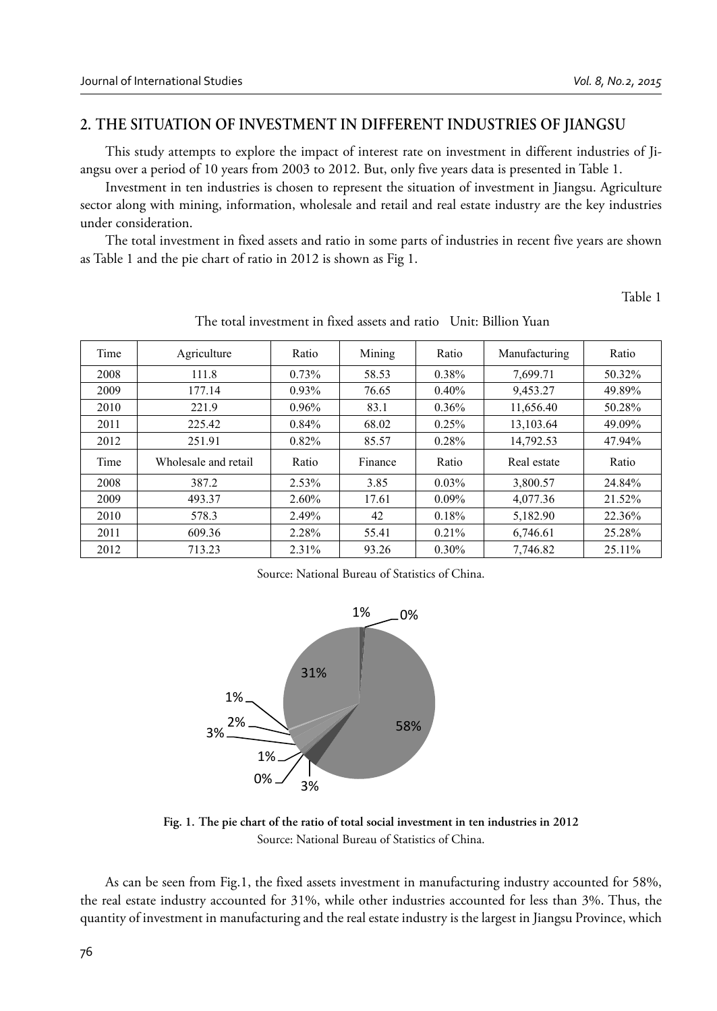# **2. THE SITUATION OF INVESTMENT IN DIFFERENT INDUSTRIES OF JIANGSU**

This study attempts to explore the impact of interest rate on investment in different industries of Jiangsu over a period of 10 years from 2003 to 2012. But, only five years data is presented in Table 1.

Investment in ten industries is chosen to represent the situation of investment in Jiangsu. Agriculture sector along with mining, information, wholesale and retail and real estate industry are the key industries under consideration.

The total investment in fixed assets and ratio in some parts of industries in recent five years are shown as Table 1 and the pie chart of ratio in 2012 is shown as Fig 1.

Table 1

| Time | Agriculture          | Ratio | Mining  | Ratio    | Manufacturing | Ratio  |
|------|----------------------|-------|---------|----------|---------------|--------|
| 2008 | 111.8                | 0.73% | 58.53   | 0.38%    | 7,699.71      | 50.32% |
| 2009 | 177.14               | 0.93% | 76.65   | 0.40%    | 9,453.27      | 49.89% |
| 2010 | 221.9                | 0.96% | 83.1    | 0.36%    | 11,656.40     | 50.28% |
| 2011 | 225.42               | 0.84% | 68.02   | 0.25%    | 13,103.64     | 49.09% |
| 2012 | 251.91               | 0.82% | 85.57   | 0.28%    | 14,792.53     | 47.94% |
| Time | Wholesale and retail | Ratio | Finance | Ratio    | Real estate   | Ratio  |
| 2008 | 387.2                | 2.53% | 3.85    | 0.03%    | 3,800.57      | 24.84% |
| 2009 | 493.37               | 2.60% | 17.61   | $0.09\%$ | 4,077.36      | 21.52% |
| 2010 | 578.3                | 2.49% | 42      | 0.18%    | 5,182.90      | 22.36% |
| 2011 | 609.36               | 2.28% | 55.41   | 0.21%    | 6,746.61      | 25.28% |
| 2012 | 713.23               | 2.31% | 93.26   | $0.30\%$ | 7.746.82      | 25.11% |

The total investment in fixed assets and ratio Unit: Billion Yuan

Source: National Bureau of Statistics of China.



**Fig. 1. The pie chart of the ratio of total social investment in ten industries in 2012** Source: National Bureau of Statistics of China.

As can be seen from Fig.1, the fixed assets investment in manufacturing industry accounted for 58%, the real estate industry accounted for 31%, while other industries accounted for less than 3%. Thus, the quantity of investment in manufacturing and the real estate industry is the largest in Jiangsu Province, which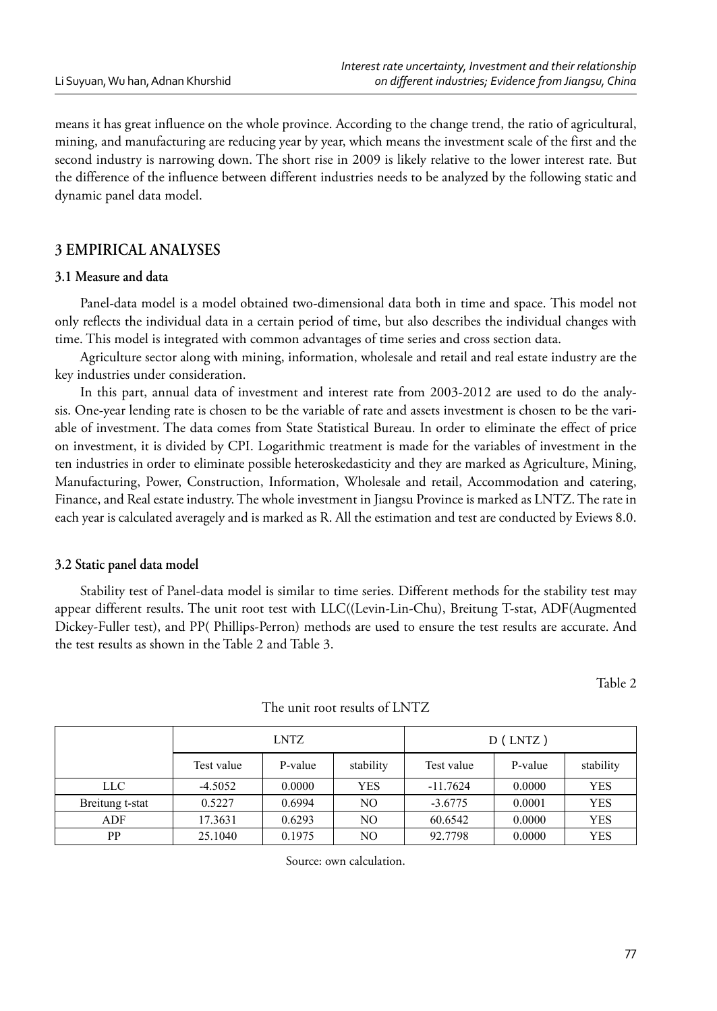means it has great influence on the whole province. According to the change trend, the ratio of agricultural, mining, and manufacturing are reducing year by year, which means the investment scale of the first and the second industry is narrowing down. The short rise in 2009 is likely relative to the lower interest rate. But the difference of the influence between different industries needs to be analyzed by the following static and dynamic panel data model.

# **3 EMPIRICAL ANALYSES**

## **3.1 Measure and data**

Panel-data model is a model obtained two-dimensional data both in time and space. This model not only reflects the individual data in a certain period of time, but also describes the individual changes with time. This model is integrated with common advantages of time series and cross section data.

Agriculture sector along with mining, information, wholesale and retail and real estate industry are the key industries under consideration.

In this part, annual data of investment and interest rate from 2003-2012 are used to do the analysis. One-year lending rate is chosen to be the variable of rate and assets investment is chosen to be the variable of investment. The data comes from State Statistical Bureau. In order to eliminate the effect of price on investment, it is divided by CPI. Logarithmic treatment is made for the variables of investment in the ten industries in order to eliminate possible heteroskedasticity and they are marked as Agriculture, Mining, Manufacturing, Power, Construction, Information, Wholesale and retail, Accommodation and catering, Finance, and Real estate industry. The whole investment in Jiangsu Province is marked as LNTZ. The rate in each year is calculated averagely and is marked as R. All the estimation and test are conducted by Eviews 8.0.

### **3.2 Static panel data model**

Stability test of Panel-data model is similar to time series. Different methods for the stability test may appear different results. The unit root test with LLC((Levin-Lin-Chu), Breitung T-stat, ADF(Augmented Dickey-Fuller test), and PP( Phillips-Perron) methods are used to ensure the test results are accurate. And the test results as shown in the Table 2 and Table 3.

Table 2

|                 | <b>LNTZ</b> |         |           | $D$ (LNTZ) |         |            |
|-----------------|-------------|---------|-----------|------------|---------|------------|
|                 | Test value  | P-value | stability | Test value | P-value | stability  |
| LLC -           | $-4.5052$   | 0.0000  | YES       | $-11.7624$ | 0.0000  | <b>YES</b> |
| Breitung t-stat | 0.5227      | 0.6994  | NO.       | $-3.6775$  | 0.0001  | <b>YES</b> |
| ADF             | 17.3631     | 0.6293  | NO.       | 60.6542    | 0.0000  | <b>YES</b> |
| PP              | 25.1040     | 0.1975  | NO        | 92.7798    | 0.0000  | <b>YES</b> |

#### The unit root results of LNTZ

Source: own calculation.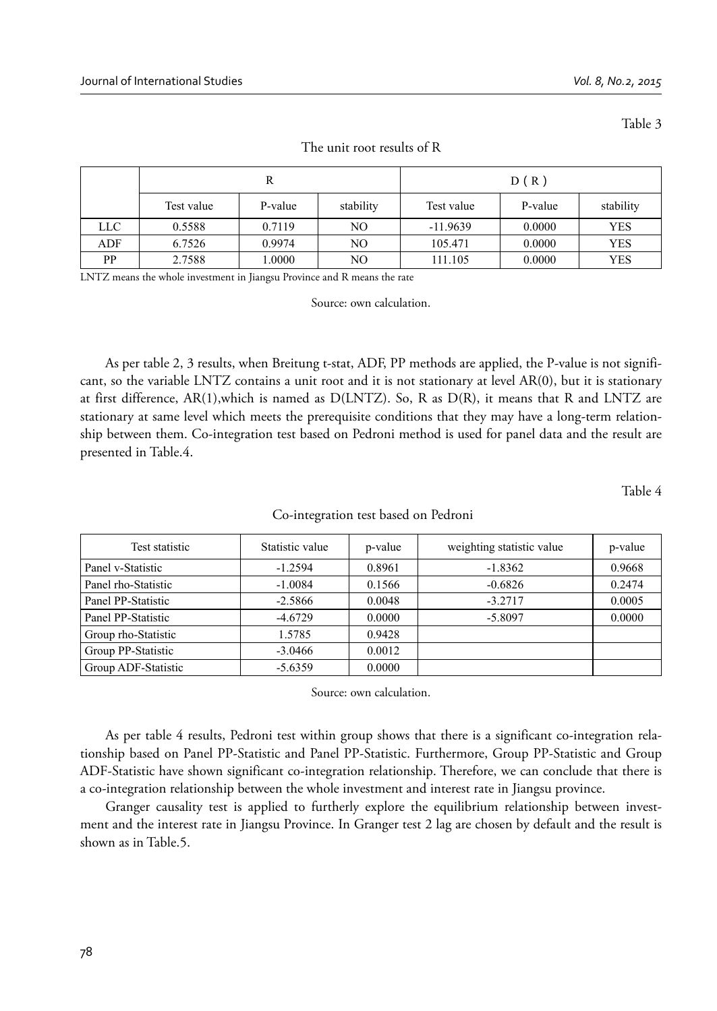Table 3

|     | R          |         |                | D(R)       |         |            |
|-----|------------|---------|----------------|------------|---------|------------|
|     | Test value | P-value | stability      | Test value | P-value | stability  |
| LLC | 0.5588     | 0.7119  | NO.            | $-11.9639$ | 0.0000  | <b>YES</b> |
| ADF | 6.7526     | 0.9974  | N <sub>O</sub> | 105.471    | 0.0000  | <b>YES</b> |
| PP  | 2.7588     | 1.0000  | N <sub>O</sub> | 111.105    | 0.0000  | <b>YES</b> |

#### The unit root results of R

LNTZ means the whole investment in Jiangsu Province and R means the rate

Source: own calculation.

As per table 2, 3 results, when Breitung t-stat, ADF, PP methods are applied, the P-value is not significant, so the variable LNTZ contains a unit root and it is not stationary at level AR(0), but it is stationary at first difference, AR(1),which is named as D(LNTZ). So, R as D(R), it means that R and LNTZ are stationary at same level which meets the prerequisite conditions that they may have a long-term relationship between them. Co-integration test based on Pedroni method is used for panel data and the result are presented in Table.4.

Table 4

| Test statistic      | Statistic value | p-value | weighting statistic value | p-value |
|---------------------|-----------------|---------|---------------------------|---------|
| Panel v-Statistic   | $-1.2594$       | 0.8961  | $-1.8362$                 | 0.9668  |
| Panel rho-Statistic | $-1.0084$       | 0.1566  | $-0.6826$                 | 0.2474  |
| Panel PP-Statistic  | $-2.5866$       | 0.0048  | $-3.2717$                 | 0.0005  |
| Panel PP-Statistic  | $-4.6729$       | 0.0000  | $-5.8097$                 | 0.0000  |
| Group rho-Statistic | 1.5785          | 0.9428  |                           |         |
| Group PP-Statistic  | $-3.0466$       | 0.0012  |                           |         |
| Group ADF-Statistic | $-5.6359$       | 0.0000  |                           |         |

#### Co-integration test based on Pedroni

Source: own calculation.

As per table 4 results, Pedroni test within group shows that there is a significant co-integration relationship based on Panel PP-Statistic and Panel PP-Statistic. Furthermore, Group PP-Statistic and Group ADF-Statistic have shown significant co-integration relationship. Therefore, we can conclude that there is a co-integration relationship between the whole investment and interest rate in Jiangsu province.

Granger causality test is applied to furtherly explore the equilibrium relationship between investment and the interest rate in Jiangsu Province. In Granger test 2 lag are chosen by default and the result is shown as in Table.5.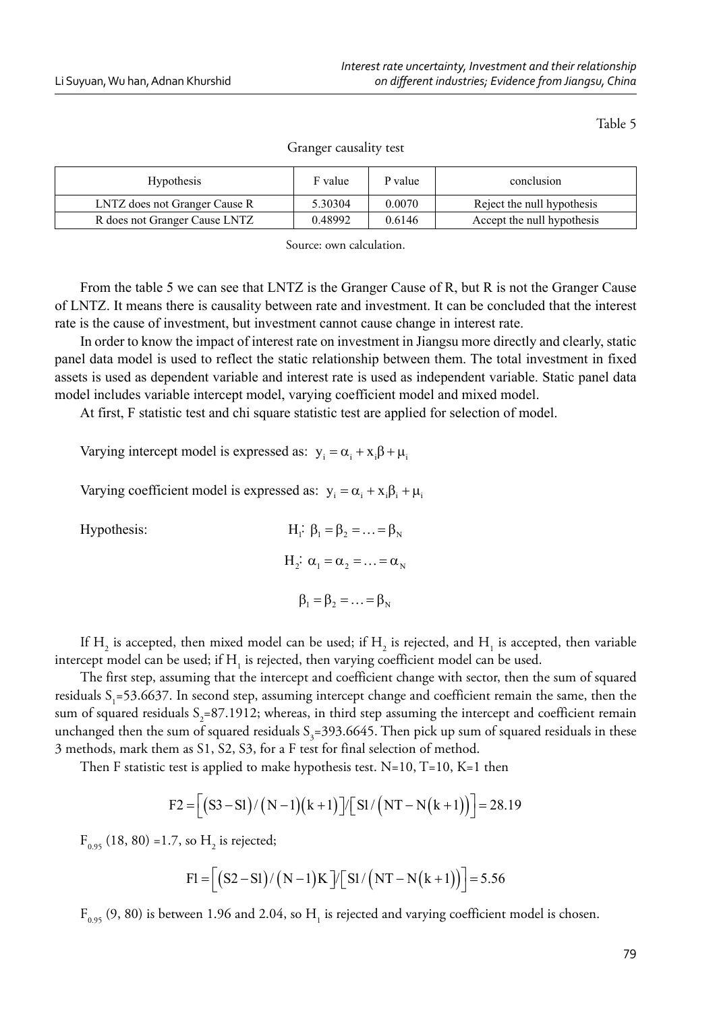Table 5

| <b>Hypothesis</b>             | F value | P value | conclusion                 |
|-------------------------------|---------|---------|----------------------------|
| LNTZ does not Granger Cause R | 5.30304 | 0.0070  | Reject the null hypothesis |
| R does not Granger Cause LNTZ | 0.48992 | 0.6146  | Accept the null hypothesis |

Granger causality test

Source: own calculation.

From the table 5 we can see that LNTZ is the Granger Cause of R, but R is not the Granger Cause of LNTZ. It means there is causality between rate and investment. It can be concluded that the interest rate is the cause of investment, but investment cannot cause change in interest rate.

In order to know the impact of interest rate on investment in Jiangsu more directly and clearly, static panel data model is used to reflect the static relationship between them. The total investment in fixed assets is used as dependent variable and interest rate is used as independent variable. Static panel data model includes variable intercept model, varying coefficient model and mixed model.

At first, F statistic test and chi square statistic test are applied for selection of model.

Varying intercept model is expressed as:  $y_i = \alpha_i + x_i\beta + \mu_i$ 

Varying coefficient model is expressed as:  $y_i = \alpha_i + x_i \beta_i + \mu_i$ 

Hypothesis:

H<sub>1</sub>: 
$$
\beta_1 = \beta_2 = \dots = \beta_N
$$
  
H<sub>2</sub>:  $\alpha_1 = \alpha_2 = \dots = \alpha_N$   
 $\beta_1 = \beta_2 = \dots = \beta_N$ 

If  $H_2$  is accepted, then mixed model can be used; if  $H_2$  is rejected, and  $H_1$  is accepted, then variable intercept model can be used; if  $\mathrm{H_{_1}}$  is rejected, then varying coefficient model can be used.

The first step, assuming that the intercept and coefficient change with sector, then the sum of squared residuals  $S_1 = 53.6637$ . In second step, assuming intercept change and coefficient remain the same, then the sum of squared residuals  $S_2$ =87.1912; whereas, in third step assuming the intercept and coefficient remain unchanged then the sum of squared residuals  $\delta_{3}$ =393.6645. Then pick up sum of squared residuals in these 3 methods, mark them as S1, S2, S3, for a F test for final selection of method.

Then F statistic test is applied to make hypothesis test. N=10, T=10, K=1 then

$$
F2 = \left[ \left( S3 - S1 \right) / \left( N - 1 \right) \left( k + 1 \right) \right] / \left[ S1 / \left( NT - N \left( k + 1 \right) \right) \right] = 28.19
$$

 $F_{0.95}$  (18, 80) =1.7, so  $H_2$  is rejected;

$$
F1 = [(S2 - SI)/(N - 1)K]/[SI/(NT - N(k + 1))] = 5.56
$$

 $F_{0.95}$  (9, 80) is between 1.96 and 2.04, so  $H_1$  is rejected and varying coefficient model is chosen.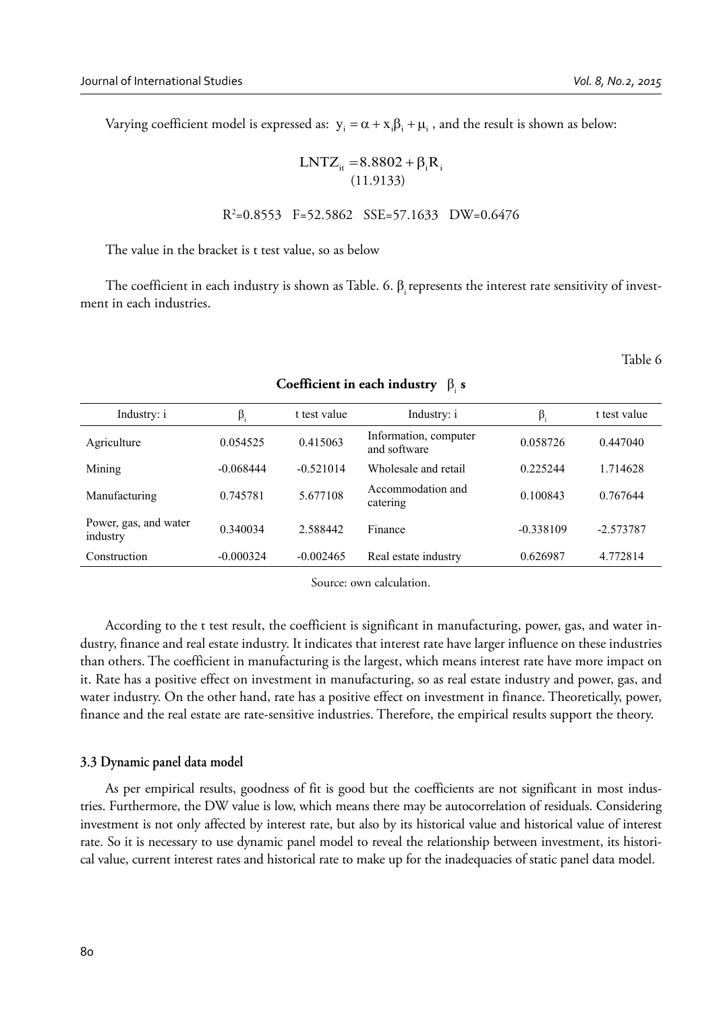Varying coefficient model is expressed as:  $y_i = \alpha + x_i\beta_i + \mu_i$ , and the result is shown as below:

$$
LNTZ_{it} = 8.8802 + \beta_i R_i
$$
  
(11.9133)

 $R^2$  $R^2=0.8553$  F=52.5862 SSE=57.1633 DW=0.6476

The value in the bracket is t test value, so as below

The coefficient in each industry is shown as Table. 6. β represents the interest rate sensitivity of investment in each industries.

Table 6

| Industry: i                       | $\beta_i$   | t test value | Industry: i                           | $\beta_i$   | t test value |
|-----------------------------------|-------------|--------------|---------------------------------------|-------------|--------------|
| Agriculture                       | 0.054525    | 0.415063     | Information, computer<br>and software | 0.058726    | 0.447040     |
| Mining                            | $-0.068444$ | $-0.521014$  | Wholesale and retail                  | 0.225244    | 1.714628     |
| Manufacturing                     | 0.745781    | 5.677108     | Accommodation and<br>catering         | 0.100843    | 0.767644     |
| Power, gas, and water<br>industry | 0.340034    | 2.588442     | Finance                               | $-0.338109$ | $-2.573787$  |
| Construction                      | $-0.000324$ | $-0.002465$  | Real estate industry                  | 0.626987    | 4.772814     |

#### **Coefficient in each industry** βi **s**

Source: own calculation.

According to the t test result, the coefficient is significant in manufacturing, power, gas, and water industry, finance and real estate industry. It indicates that interest rate have larger influence on these industries than others. The coefficient in manufacturing is the largest, which means interest rate have more impact on it. Rate has a positive effect on investment in manufacturing, so as real estate industry and power, gas, and water industry. On the other hand, rate has a positive effect on investment in finance. Theoretically, power, finance and the real estate are rate-sensitive industries. Therefore, the empirical results support the theory.

#### **3.3 Dynamic panel data model**

As per empirical results, goodness of fit is good but the coefficients are not significant in most industries. Furthermore, the DW value is low, which means there may be autocorrelation of residuals. Considering investment is not only affected by interest rate, but also by its historical value and historical value of interest rate. So it is necessary to use dynamic panel model to reveal the relationship between investment, its historical value, current interest rates and historical rate to make up for the inadequacies of static panel data model.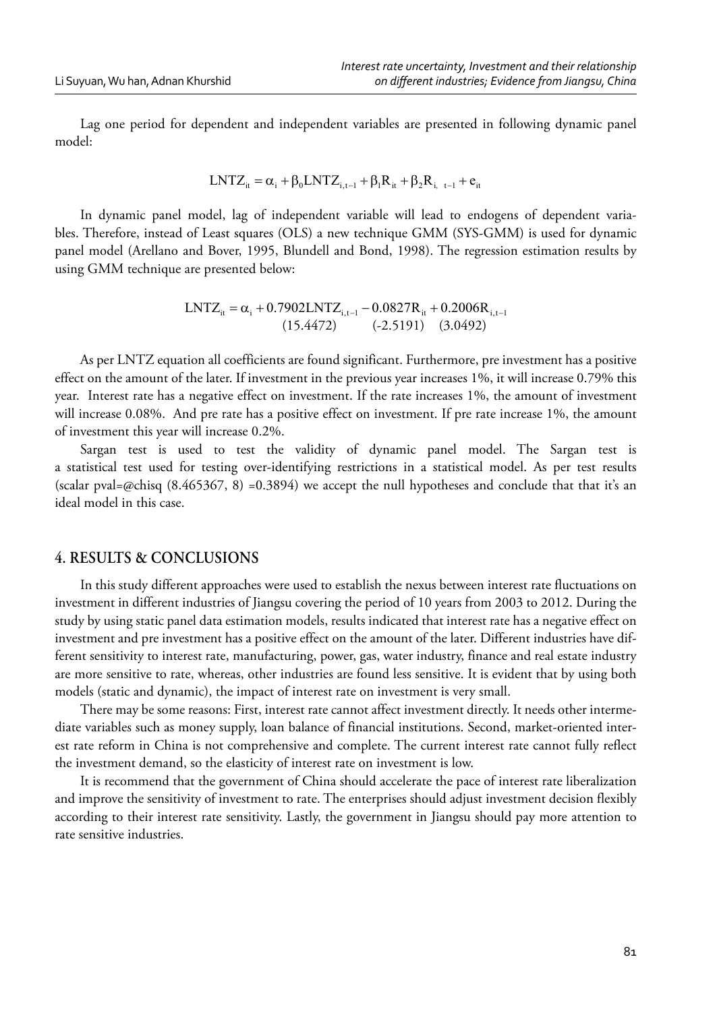Lag one period for dependent and independent variables are presented in following dynamic panel model:

$$
LNTZ_{it} = \alpha_i + \beta_0 LNTZ_{i, t-1} + \beta_1 R_{it} + \beta_2 R_{i, t-1} + e_{it}
$$

In dynamic panel model, lag of independent variable will lead to endogens of dependent variables. Therefore, instead of Least squares (OLS) a new technique GMM (SYS-GMM) is used for dynamic panel model (Arellano and Bover, 1995, Blundell and Bond, 1998). The regression estimation results by using GMM technique are presented below:

$$
LNTZ_{it} = \alpha_i + 0.7902 LNTZ_{i,t-1} - 0.0827R_{it} + 0.2006R_{i,t-1}
$$
  
(15.4472) (-2.5191) (3.0492)

As per LNTZ equation all coefficients are found significant. Furthermore, pre investment has a positive effect on the amount of the later. If investment in the previous year increases 1%, it will increase 0.79% this year. Interest rate has a negative effect on investment. If the rate increases 1%, the amount of investment will increase 0.08%. And pre rate has a positive effect on investment. If pre rate increase 1%, the amount of investment this year will increase 0.2%.

Sargan test is used to test the validity of dynamic panel model. The Sargan test is a statistical test used for testing over-identifying restrictions in a statistical model. As per test results (scalar pval=@chisq  $(8.465367, 8)$  =0.3894) we accept the null hypotheses and conclude that that it's an ideal model in this case.

# **4. RESULTS & CONCLUSIONS**

In this study different approaches were used to establish the nexus between interest rate fluctuations on investment in different industries of Jiangsu covering the period of 10 years from 2003 to 2012. During the study by using static panel data estimation models, results indicated that interest rate has a negative effect on investment and pre investment has a positive effect on the amount of the later. Different industries have different sensitivity to interest rate, manufacturing, power, gas, water industry, finance and real estate industry are more sensitive to rate, whereas, other industries are found less sensitive. It is evident that by using both models (static and dynamic), the impact of interest rate on investment is very small.

There may be some reasons: First, interest rate cannot affect investment directly. It needs other intermediate variables such as money supply, loan balance of financial institutions. Second, market-oriented interest rate reform in China is not comprehensive and complete. The current interest rate cannot fully reflect the investment demand, so the elasticity of interest rate on investment is low.

It is recommend that the government of China should accelerate the pace of interest rate liberalization and improve the sensitivity of investment to rate. The enterprises should adjust investment decision flexibly according to their interest rate sensitivity. Lastly, the government in Jiangsu should pay more attention to rate sensitive industries.